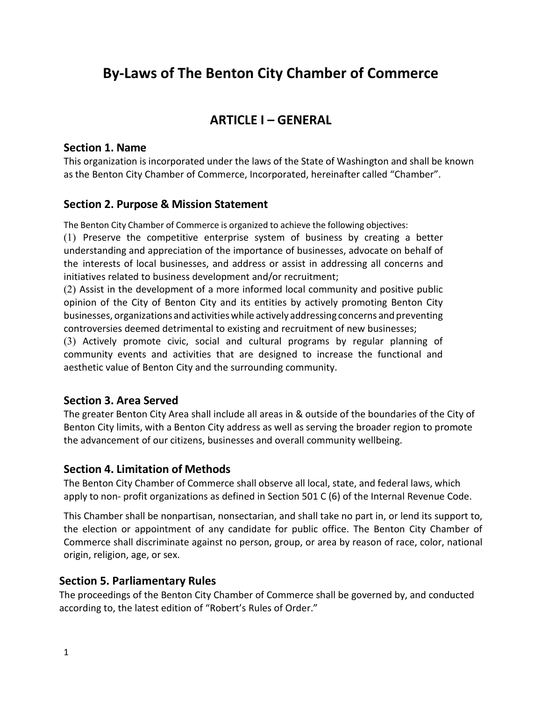# **By-Laws of The Benton City Chamber of Commerce**

# **ARTICLE I – GENERAL**

#### **Section 1. Name**

This organization is incorporated under the laws of the State of Washington and shall be known as the Benton City Chamber of Commerce, Incorporated, hereinafter called "Chamber".

### **Section 2. Purpose & Mission Statement**

The Benton City Chamber of Commerce is organized to achieve the following objectives:

(1) Preserve the competitive enterprise system of business by creating a better understanding and appreciation of the importance of businesses, advocate on behalf of the interests of local businesses, and address or assist in addressing all concerns and initiatives related to business development and/or recruitment;

(2) Assist in the development of a more informed local community and positive public opinion of the City of Benton City and its entities by actively promoting Benton City businesses, organizations and activitieswhile actively addressing concerns and preventing controversies deemed detrimental to existing and recruitment of new businesses;

(3) Actively promote civic, social and cultural programs by regular planning of community events and activities that are designed to increase the functional and aesthetic value of Benton City and the surrounding community.

#### **Section 3. Area Served**

The greater Benton City Area shall include all areas in & outside of the boundaries of the City of Benton City limits, with a Benton City address as well as serving the broader region to promote the advancement of our citizens, businesses and overall community wellbeing.

#### **Section 4. Limitation of Methods**

The Benton City Chamber of Commerce shall observe all local, state, and federal laws, which apply to non- profit organizations as defined in Section 501 C (6) of the Internal Revenue Code.

This Chamber shall be nonpartisan, nonsectarian, and shall take no part in, or lend its support to, the election or appointment of any candidate for public office. The Benton City Chamber of Commerce shall discriminate against no person, group, or area by reason of race, color, national origin, religion, age, or sex.

#### **Section 5. Parliamentary Rules**

The proceedings of the Benton City Chamber of Commerce shall be governed by, and conducted according to, the latest edition of "Robert's Rules of Order."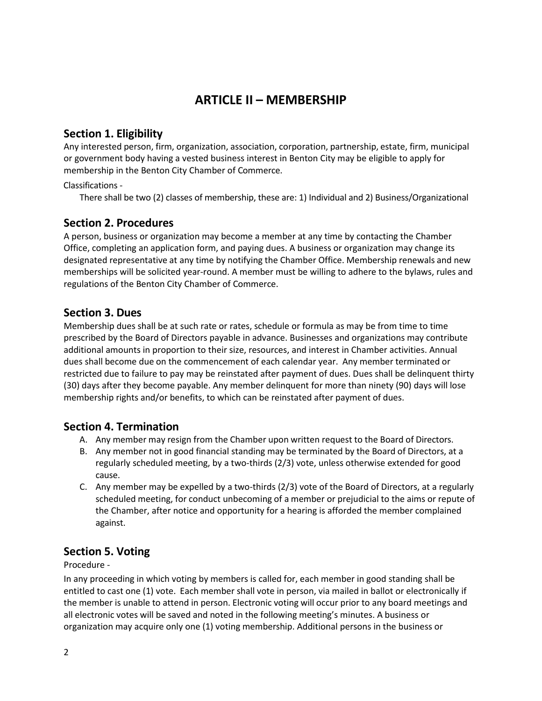# **ARTICLE II – MEMBERSHIP**

## **Section 1. Eligibility**

Any interested person, firm, organization, association, corporation, partnership, estate, firm, municipal or government body having a vested business interest in Benton City may be eligible to apply for membership in the Benton City Chamber of Commerce.

#### Classifications -

There shall be two (2) classes of membership, these are: 1) Individual and 2) Business/Organizational

## **Section 2. Procedures**

A person, business or organization may become a member at any time by contacting the Chamber Office, completing an application form, and paying dues. A business or organization may change its designated representative at any time by notifying the Chamber Office. Membership renewals and new memberships will be solicited year-round. A member must be willing to adhere to the bylaws, rules and regulations of the Benton City Chamber of Commerce.

## **Section 3. Dues**

Membership dues shall be at such rate or rates, schedule or formula as may be from time to time prescribed by the Board of Directors payable in advance. Businesses and organizations may contribute additional amounts in proportion to their size, resources, and interest in Chamber activities. Annual dues shall become due on the commencement of each calendar year. Any member terminated or restricted due to failure to pay may be reinstated after payment of dues. Dues shall be delinquent thirty (30) days after they become payable. Any member delinquent for more than ninety (90) days will lose membership rights and/or benefits, to which can be reinstated after payment of dues.

## **Section 4. Termination**

- A. Any member may resign from the Chamber upon written request to the Board of Directors.
- B. Any member not in good financial standing may be terminated by the Board of Directors, at a regularly scheduled meeting, by a two-thirds (2/3) vote, unless otherwise extended for good cause.
- C. Any member may be expelled by a two-thirds (2/3) vote of the Board of Directors, at a regularly scheduled meeting, for conduct unbecoming of a member or prejudicial to the aims or repute of the Chamber, after notice and opportunity for a hearing is afforded the member complained against.

## **Section 5. Voting**

Procedure -

In any proceeding in which voting by members is called for, each member in good standing shall be entitled to cast one (1) vote. Each member shall vote in person, via mailed in ballot or electronically if the member is unable to attend in person. Electronic voting will occur prior to any board meetings and all electronic votes will be saved and noted in the following meeting's minutes. A business or organization may acquire only one (1) voting membership. Additional persons in the business or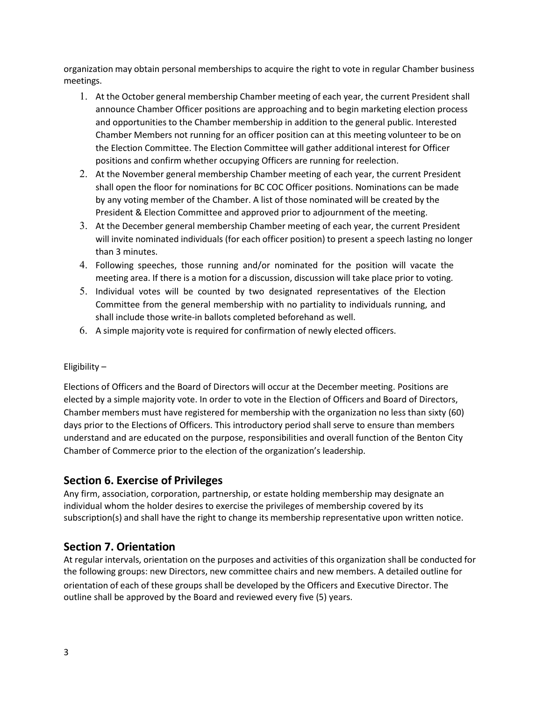organization may obtain personal memberships to acquire the right to vote in regular Chamber business meetings.

- 1. At the October general membership Chamber meeting of each year, the current President shall announce Chamber Officer positions are approaching and to begin marketing election process and opportunities to the Chamber membership in addition to the general public. Interested Chamber Members not running for an officer position can at this meeting volunteer to be on the Election Committee. The Election Committee will gather additional interest for Officer positions and confirm whether occupying Officers are running for reelection.
- 2. At the November general membership Chamber meeting of each year, the current President shall open the floor for nominations for BC COC Officer positions. Nominations can be made by any voting member of the Chamber. A list of those nominated will be created by the President & Election Committee and approved prior to adjournment of the meeting.
- 3. At the December general membership Chamber meeting of each year, the current President will invite nominated individuals (for each officer position) to present a speech lasting no longer than 3 minutes.
- 4. Following speeches, those running and/or nominated for the position will vacate the meeting area. If there is a motion for a discussion, discussion will take place prior to voting.
- 5. Individual votes will be counted by two designated representatives of the Election Committee from the general membership with no partiality to individuals running, and shall include those write-in ballots completed beforehand as well.
- 6. A simple majority vote is required for confirmation of newly elected officers.

#### Eligibility –

Elections of Officers and the Board of Directors will occur at the December meeting. Positions are elected by a simple majority vote. In order to vote in the Election of Officers and Board of Directors, Chamber members must have registered for membership with the organization no less than sixty (60) days prior to the Elections of Officers. This introductory period shall serve to ensure than members understand and are educated on the purpose, responsibilities and overall function of the Benton City Chamber of Commerce prior to the election of the organization's leadership.

## **Section 6. Exercise of Privileges**

Any firm, association, corporation, partnership, or estate holding membership may designate an individual whom the holder desires to exercise the privileges of membership covered by its subscription(s) and shall have the right to change its membership representative upon written notice.

## **Section 7. Orientation**

At regular intervals, orientation on the purposes and activities of this organization shall be conducted for the following groups: new Directors, new committee chairs and new members. A detailed outline for orientation of each of these groups shall be developed by the Officers and Executive Director. The outline shall be approved by the Board and reviewed every five (5) years.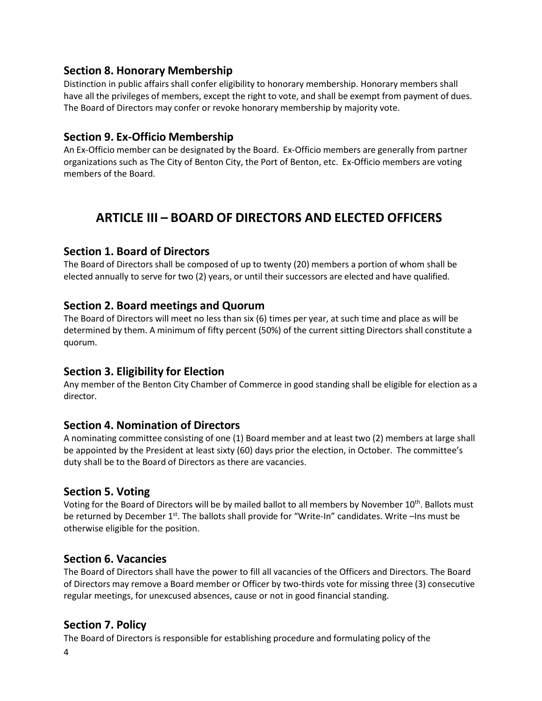### **Section 8. Honorary Membership**

Distinction in public affairs shall confer eligibility to honorary membership. Honorary members shall have all the privileges of members, except the right to vote, and shall be exempt from payment of dues. The Board of Directors may confer or revoke honorary membership by majority vote.

## **Section 9. Ex-Officio Membership**

An Ex-Officio member can be designated by the Board. Ex-Officio members are generally from partner organizations such as The City of Benton City, the Port of Benton, etc. Ex-Officio members are voting members of the Board.

# **ARTICLE III – BOARD OF DIRECTORS AND ELECTED OFFICERS**

### **Section 1. Board of Directors**

The Board of Directors shall be composed of up to twenty (20) members a portion of whom shall be elected annually to serve for two (2) years, or until their successors are elected and have qualified.

## **Section 2. Board meetings and Quorum**

The Board of Directors will meet no less than six (6) times per year, at such time and place as will be determined by them. A minimum of fifty percent (50%) of the current sitting Directors shall constitute a quorum.

## **Section 3. Eligibility for Election**

Any member of the Benton City Chamber of Commerce in good standing shall be eligible for election as a director.

#### **Section 4. Nomination of Directors**

A nominating committee consisting of one (1) Board member and at least two (2) members at large shall be appointed by the President at least sixty (60) days prior the election, in October. The committee's duty shall be to the Board of Directors as there are vacancies.

## **Section 5. Voting**

Voting for the Board of Directors will be by mailed ballot to all members by November 10<sup>th</sup>. Ballots must be returned by December 1<sup>st</sup>. The ballots shall provide for "Write-In" candidates. Write –Ins must be otherwise eligible for the position.

## **Section 6. Vacancies**

The Board of Directors shall have the power to fill all vacancies of the Officers and Directors. The Board of Directors may remove a Board member or Officer by two-thirds vote for missing three (3) consecutive regular meetings, for unexcused absences, cause or not in good financial standing.

## **Section 7. Policy**

The Board of Directors is responsible for establishing procedure and formulating policy of the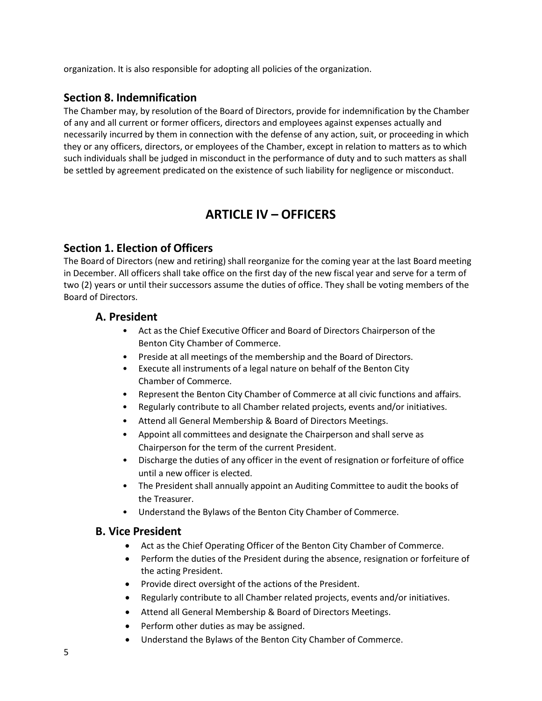organization. It is also responsible for adopting all policies of the organization.

### **Section 8. Indemnification**

The Chamber may, by resolution of the Board of Directors, provide for indemnification by the Chamber of any and all current or former officers, directors and employees against expenses actually and necessarily incurred by them in connection with the defense of any action, suit, or proceeding in which they or any officers, directors, or employees of the Chamber, except in relation to matters as to which such individuals shall be judged in misconduct in the performance of duty and to such matters as shall be settled by agreement predicated on the existence of such liability for negligence or misconduct.

# **ARTICLE IV – OFFICERS**

### **Section 1. Election of Officers**

The Board of Directors (new and retiring) shall reorganize for the coming year at the last Board meeting in December. All officers shall take office on the first day of the new fiscal year and serve for a term of two (2) years or until their successors assume the duties of office. They shall be voting members of the Board of Directors.

#### **A. President**

- Act as the Chief Executive Officer and Board of Directors Chairperson of the Benton City Chamber of Commerce.
- Preside at all meetings of the membership and the Board of Directors.
- Execute all instruments of a legal nature on behalf of the Benton City Chamber of Commerce.
- Represent the Benton City Chamber of Commerce at all civic functions and affairs.
- Regularly contribute to all Chamber related projects, events and/or initiatives.
- Attend all General Membership & Board of Directors Meetings.
- Appoint all committees and designate the Chairperson and shall serve as Chairperson for the term of the current President.
- Discharge the duties of any officer in the event of resignation or forfeiture of office until a new officer is elected.
- The President shall annually appoint an Auditing Committee to audit the books of the Treasurer.
- Understand the Bylaws of the Benton City Chamber of Commerce.

## **B. Vice President**

- Act as the Chief Operating Officer of the Benton City Chamber of Commerce.
- Perform the duties of the President during the absence, resignation or forfeiture of the acting President.
- Provide direct oversight of the actions of the President.
- Regularly contribute to all Chamber related projects, events and/or initiatives.
- Attend all General Membership & Board of Directors Meetings.
- Perform other duties as may be assigned.
- Understand the Bylaws of the Benton City Chamber of Commerce.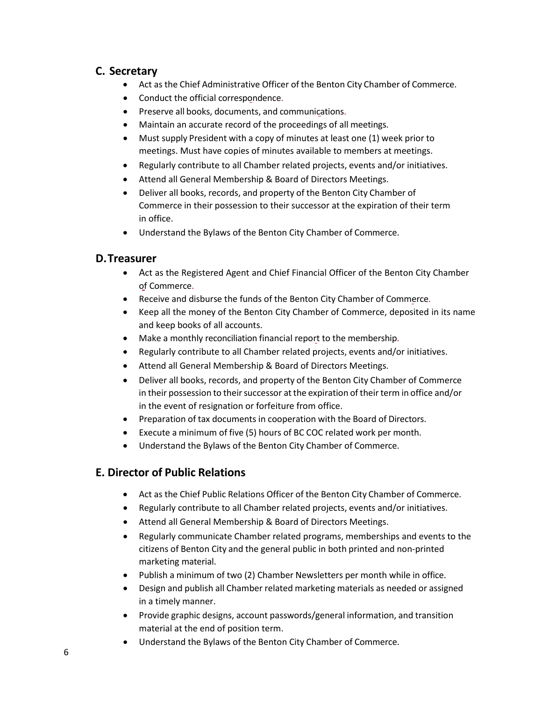## **C. Secretary**

- Act as the Chief Administrative Officer of the Benton City Chamber of Commerce.
- Conduct the official correspondence.
- Preserve all books, documents, and communications.
- Maintain an accurate record of the proceedings of all meetings.
- Must supply President with a copy of minutes at least one (1) week prior to meetings. Must have copies of minutes available to members at meetings.
- Regularly contribute to all Chamber related projects, events and/or initiatives.
- Attend all General Membership & Board of Directors Meetings.
- Deliver all books, records, and property of the Benton City Chamber of Commerce in their possession to their successor at the expiration of their term in office.
- Understand the Bylaws of the Benton City Chamber of Commerce.

## **D.Treasurer**

- Act as the Registered Agent and Chief Financial Officer of the Benton City Chamber of Commerce.
- Receive and disburse the funds of the Benton City Chamber of Commerce.
- Keep all the money of the Benton City Chamber of Commerce, deposited in its name and keep books of all accounts.
- Make a monthly reconciliation financial report to the membership.
- Regularly contribute to all Chamber related projects, events and/or initiatives.
- Attend all General Membership & Board of Directors Meetings.
- Deliver all books, records, and property of the Benton City Chamber of Commerce in their possession to their successor at the expiration of their term in office and/or in the event of resignation or forfeiture from office.
- Preparation of tax documents in cooperation with the Board of Directors.
- Execute a minimum of five (5) hours of BC COC related work per month.
- Understand the Bylaws of the Benton City Chamber of Commerce.

## **E. Director of Public Relations**

- Act as the Chief Public Relations Officer of the Benton City Chamber of Commerce.
- Regularly contribute to all Chamber related projects, events and/or initiatives.
- Attend all General Membership & Board of Directors Meetings.
- Regularly communicate Chamber related programs, memberships and events to the citizens of Benton City and the general public in both printed and non-printed marketing material.
- Publish a minimum of two (2) Chamber Newsletters per month while in office.
- Design and publish all Chamber related marketing materials as needed or assigned in a timely manner.
- Provide graphic designs, account passwords/general information, and transition material at the end of position term.
- Understand the Bylaws of the Benton City Chamber of Commerce.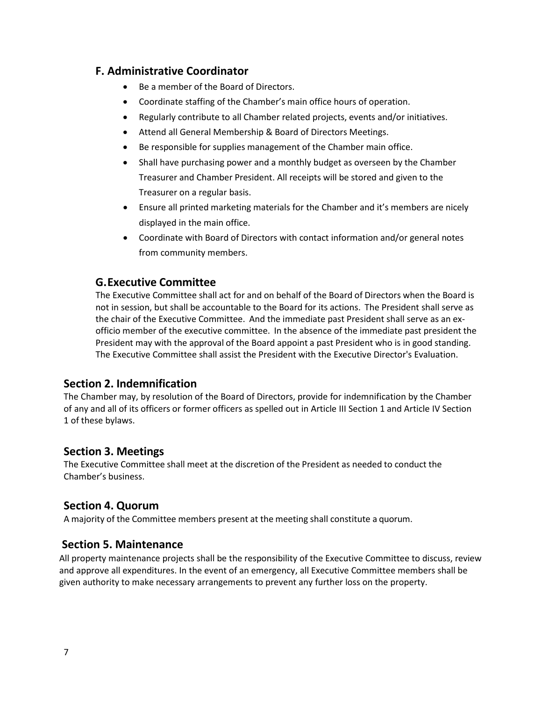### **F. Administrative Coordinator**

- Be a member of the Board of Directors.
- Coordinate staffing of the Chamber's main office hours of operation.
- Regularly contribute to all Chamber related projects, events and/or initiatives.
- Attend all General Membership & Board of Directors Meetings.
- Be responsible for supplies management of the Chamber main office.
- Shall have purchasing power and a monthly budget as overseen by the Chamber Treasurer and Chamber President. All receipts will be stored and given to the Treasurer on a regular basis.
- Ensure all printed marketing materials for the Chamber and it's members are nicely displayed in the main office.
- Coordinate with Board of Directors with contact information and/or general notes from community members.

#### **G.Executive Committee**

The Executive Committee shall act for and on behalf of the Board of Directors when the Board is not in session, but shall be accountable to the Board for its actions. The President shall serve as the chair of the Executive Committee. And the immediate past President shall serve as an exofficio member of the executive committee. In the absence of the immediate past president the President may with the approval of the Board appoint a past President who is in good standing. The Executive Committee shall assist the President with the Executive Director's Evaluation.

#### **Section 2. Indemnification**

The Chamber may, by resolution of the Board of Directors, provide for indemnification by the Chamber of any and all of its officers or former officers as spelled out in Article III Section 1 and Article IV Section 1 of these bylaws.

#### **Section 3. Meetings**

The Executive Committee shall meet at the discretion of the President as needed to conduct the Chamber's business.

#### **Section 4. Quorum**

A majority of the Committee members present at the meeting shall constitute a quorum.

#### **Section 5. Maintenance**

All property maintenance projects shall be the responsibility of the Executive Committee to discuss, review and approve all expenditures. In the event of an emergency, all Executive Committee members shall be given authority to make necessary arrangements to prevent any further loss on the property.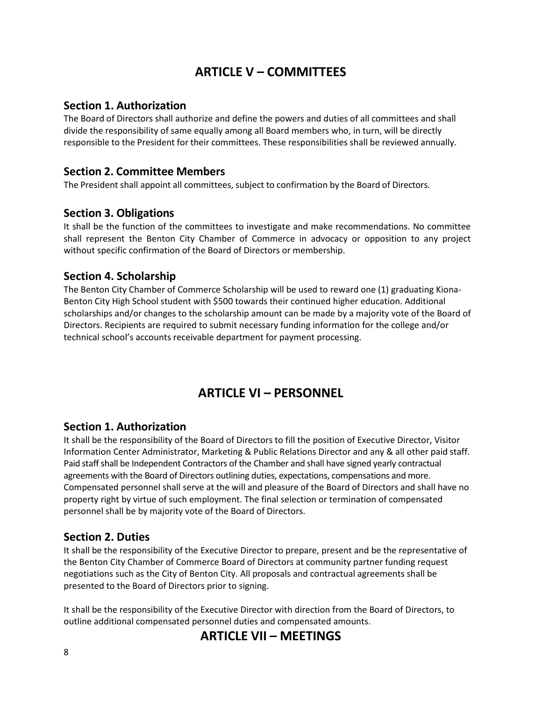# **ARTICLE V – COMMITTEES**

#### **Section 1. Authorization**

The Board of Directors shall authorize and define the powers and duties of all committees and shall divide the responsibility of same equally among all Board members who, in turn, will be directly responsible to the President for their committees. These responsibilities shall be reviewed annually.

## **Section 2. Committee Members**

The President shall appoint all committees, subject to confirmation by the Board of Directors.

## **Section 3. Obligations**

It shall be the function of the committees to investigate and make recommendations. No committee shall represent the Benton City Chamber of Commerce in advocacy or opposition to any project without specific confirmation of the Board of Directors or membership.

## **Section 4. Scholarship**

The Benton City Chamber of Commerce Scholarship will be used to reward one (1) graduating Kiona-Benton City High School student with \$500 towards their continued higher education. Additional scholarships and/or changes to the scholarship amount can be made by a majority vote of the Board of Directors. Recipients are required to submit necessary funding information for the college and/or technical school's accounts receivable department for payment processing.

# **ARTICLE VI – PERSONNEL**

#### **Section 1. Authorization**

It shall be the responsibility of the Board of Directors to fill the position of Executive Director, Visitor Information Center Administrator, Marketing & Public Relations Director and any & all other paid staff. Paid staffshall be Independent Contractors of the Chamber and shall have signed yearly contractual agreements with the Board of Directors outlining duties, expectations, compensations and more. Compensated personnel shall serve at the will and pleasure of the Board of Directors and shall have no property right by virtue of such employment. The final selection or termination of compensated personnel shall be by majority vote of the Board of Directors.

## **Section 2. Duties**

It shall be the responsibility of the Executive Director to prepare, present and be the representative of the Benton City Chamber of Commerce Board of Directors at community partner funding request negotiations such as the City of Benton City. All proposals and contractual agreements shall be presented to the Board of Directors prior to signing.

It shall be the responsibility of the Executive Director with direction from the Board of Directors, to outline additional compensated personnel duties and compensated amounts.

# **ARTICLE VII – MEETINGS**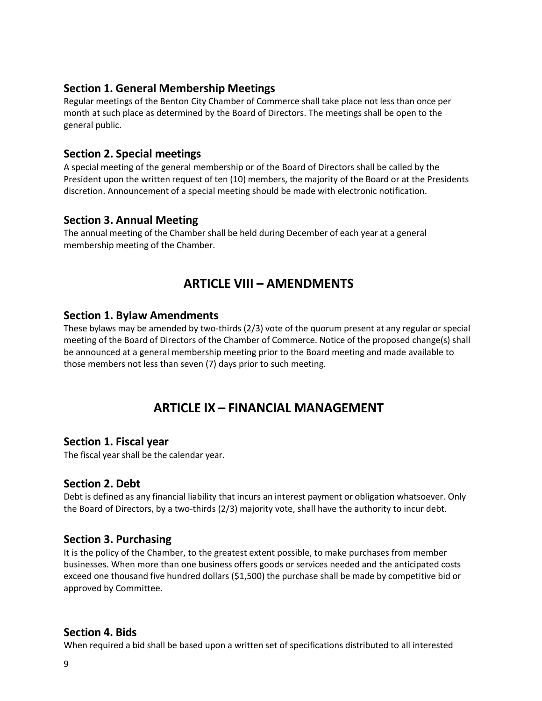### **Section 1. General Membership Meetings**

Regular meetings of the Benton City Chamber of Commerce shall take place not less than once per month at such place as determined by the Board of Directors. The meetings shall be open to the general public.

## **Section 2. Special meetings**

A special meeting of the general membership or of the Board of Directors shall be called by the President upon the written request of ten (10) members, the majority of the Board or at the Presidents discretion. Announcement of a special meeting should be made with electronic notification.

### **Section 3. Annual Meeting**

The annual meeting of the Chamber shall be held during December of each year at a general membership meeting of the Chamber.

# **ARTICLE VIII – AMENDMENTS**

### **Section 1. Bylaw Amendments**

These bylaws may be amended by two-thirds (2/3) vote of the quorum present at any regular or special meeting of the Board of Directors of the Chamber of Commerce. Notice of the proposed change(s) shall be announced at a general membership meeting prior to the Board meeting and made available to those members not less than seven (7) days prior to such meeting.

# **ARTICLE IX – FINANCIAL MANAGEMENT**

## **Section 1. Fiscal year**

The fiscal year shall be the calendar year.

#### **Section 2. Debt**

Debt is defined as any financial liability that incurs an interest payment or obligation whatsoever. Only the Board of Directors, by a two-thirds (2/3) majority vote, shall have the authority to incur debt.

#### **Section 3. Purchasing**

It is the policy of the Chamber, to the greatest extent possible, to make purchases from member businesses. When more than one business offers goods or services needed and the anticipated costs exceed one thousand five hundred dollars (\$1,500) the purchase shall be made by competitive bid or approved by Committee.

#### **Section 4. Bids**

When required a bid shall be based upon a written set of specifications distributed to all interested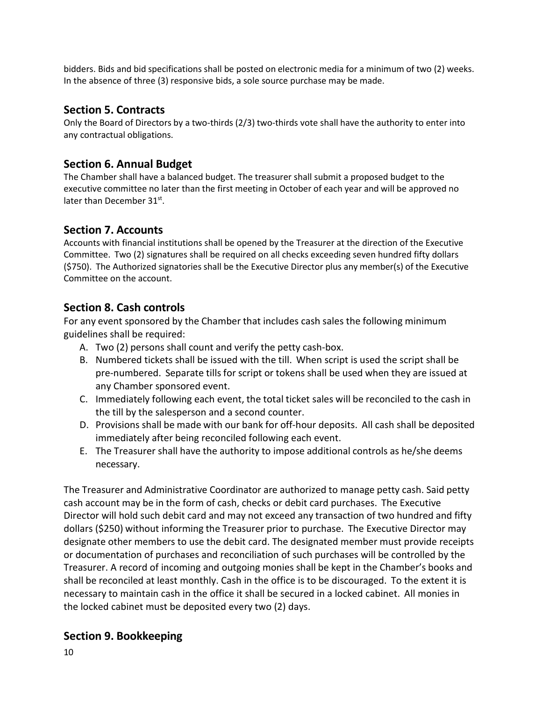bidders. Bids and bid specifications shall be posted on electronic media for a minimum of two (2) weeks. In the absence of three (3) responsive bids, a sole source purchase may be made.

## **Section 5. Contracts**

Only the Board of Directors by a two-thirds (2/3) two-thirds vote shall have the authority to enter into any contractual obligations.

## **Section 6. Annual Budget**

The Chamber shall have a balanced budget. The treasurer shall submit a proposed budget to the executive committee no later than the first meeting in October of each year and will be approved no later than December 31st.

## **Section 7. Accounts**

Accounts with financial institutions shall be opened by the Treasurer at the direction of the Executive Committee. Two (2) signatures shall be required on all checks exceeding seven hundred fifty dollars (\$750). The Authorized signatories shall be the Executive Director plus any member(s) of the Executive Committee on the account.

## **Section 8. Cash controls**

For any event sponsored by the Chamber that includes cash sales the following minimum guidelines shall be required:

- A. Two (2) persons shall count and verify the petty cash-box.
- B. Numbered tickets shall be issued with the till. When script is used the script shall be pre-numbered. Separate tills for script or tokens shall be used when they are issued at any Chamber sponsored event.
- C. Immediately following each event, the total ticket sales will be reconciled to the cash in the till by the salesperson and a second counter.
- D. Provisions shall be made with our bank for off-hour deposits. All cash shall be deposited immediately after being reconciled following each event.
- E. The Treasurer shall have the authority to impose additional controls as he/she deems necessary.

The Treasurer and Administrative Coordinator are authorized to manage petty cash. Said petty cash account may be in the form of cash, checks or debit card purchases. The Executive Director will hold such debit card and may not exceed any transaction of two hundred and fifty dollars (\$250) without informing the Treasurer prior to purchase. The Executive Director may designate other members to use the debit card. The designated member must provide receipts or documentation of purchases and reconciliation of such purchases will be controlled by the Treasurer. A record of incoming and outgoing monies shall be kept in the Chamber's books and shall be reconciled at least monthly. Cash in the office is to be discouraged. To the extent it is necessary to maintain cash in the office it shall be secured in a locked cabinet. All monies in the locked cabinet must be deposited every two (2) days.

## **Section 9. Bookkeeping**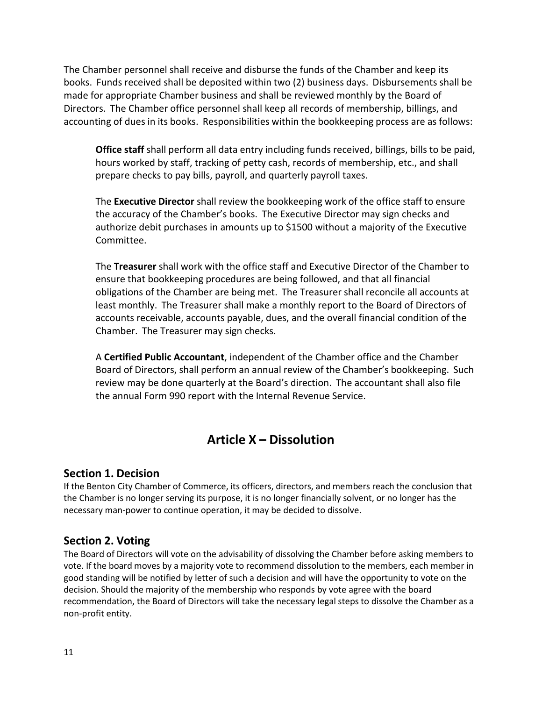The Chamber personnel shall receive and disburse the funds of the Chamber and keep its books. Funds received shall be deposited within two (2) business days. Disbursements shall be made for appropriate Chamber business and shall be reviewed monthly by the Board of Directors. The Chamber office personnel shall keep all records of membership, billings, and accounting of dues in its books. Responsibilities within the bookkeeping process are as follows:

**Office staff** shall perform all data entry including funds received, billings, bills to be paid, hours worked by staff, tracking of petty cash, records of membership, etc., and shall prepare checks to pay bills, payroll, and quarterly payroll taxes.

The **Executive Director** shall review the bookkeeping work of the office staff to ensure the accuracy of the Chamber's books. The Executive Director may sign checks and authorize debit purchases in amounts up to \$1500 without a majority of the Executive Committee.

The **Treasurer** shall work with the office staff and Executive Director of the Chamber to ensure that bookkeeping procedures are being followed, and that all financial obligations of the Chamber are being met. The Treasurer shall reconcile all accounts at least monthly. The Treasurer shall make a monthly report to the Board of Directors of accounts receivable, accounts payable, dues, and the overall financial condition of the Chamber. The Treasurer may sign checks.

A **Certified Public Accountant**, independent of the Chamber office and the Chamber Board of Directors, shall perform an annual review of the Chamber's bookkeeping. Such review may be done quarterly at the Board's direction. The accountant shall also file the annual Form 990 report with the Internal Revenue Service.

# **Article X – Dissolution**

## **Section 1. Decision**

If the Benton City Chamber of Commerce, its officers, directors, and members reach the conclusion that the Chamber is no longer serving its purpose, it is no longer financially solvent, or no longer has the necessary man-power to continue operation, it may be decided to dissolve.

## **Section 2. Voting**

The Board of Directors will vote on the advisability of dissolving the Chamber before asking members to vote. If the board moves by a majority vote to recommend dissolution to the members, each member in good standing will be notified by letter of such a decision and will have the opportunity to vote on the decision. Should the majority of the membership who responds by vote agree with the board recommendation, the Board of Directors will take the necessary legal steps to dissolve the Chamber as a non-profit entity.